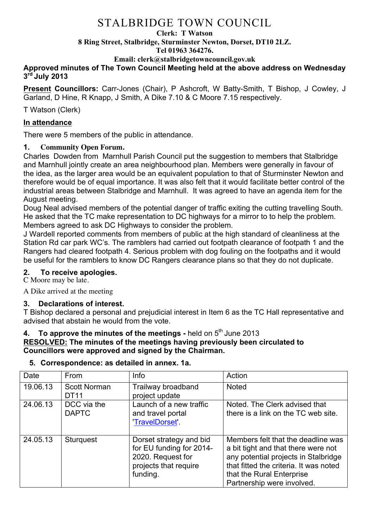#### **Clerk: T Watson**

**8 Ring Street, Stalbridge, Sturminster Newton, Dorset, DT10 2LZ.**

#### **Tel 01963 364276.**

**Email: clerk@stalbridgetowncouncil.gov.uk**

# **Approved minutes of The Town Council Meeting held at the above address on Wednesday 3rd July 2013**

**Present Councillors:** Carr-Jones (Chair), P Ashcroft, W Batty-Smith, T Bishop, J Cowley, J Garland, D Hine, R Knapp, J Smith, A Dike 7.10 & C Moore 7.15 respectively.

### T Watson (Clerk)

# **In attendance**

There were 5 members of the public in attendance.

# **1. Community Open Forum.**

Charles Dowden from Marnhull Parish Council put the suggestion to members that Stalbridge and Marnhull jointly create an area neighbourhood plan. Members were generally in favour of the idea, as the larger area would be an equivalent population to that of Sturminster Newton and therefore would be of equal importance. It was also felt that it would facilitate better control of the industrial areas between Stalbridge and Marnhull. It was agreed to have an agenda item for the August meeting.

Doug Neal advised members of the potential danger of traffic exiting the cutting travelling South. He asked that the TC make representation to DC highways for a mirror to to help the problem. Members agreed to ask DC Highways to consider the problem.

J Wardell reported comments from members of public at the high standard of cleanliness at the Station Rd car park WC's. The ramblers had carried out footpath clearance of footpath 1 and the Rangers had cleared footpath 4. Serious problem with dog fouling on the footpaths and it would be useful for the ramblers to know DC Rangers clearance plans so that they do not duplicate.

# **2. To receive apologies.**

C Moore may be late.

A Dike arrived at the meeting

# **3. Declarations of interest.**

T Bishop declared a personal and prejudicial interest in Item 6 as the TC Hall representative and advised that abstain he would from the vote.

#### **4. To approve the minutes of the meetings -** held on 5<sup>th</sup> June 2013 **RESOLVED: The minutes of the meetings having previously been circulated to**

# **Councillors were approved and signed by the Chairman.**

| Date     | From                               | Info                                                                                                          | Action                                                                                                                                                                                                                 |
|----------|------------------------------------|---------------------------------------------------------------------------------------------------------------|------------------------------------------------------------------------------------------------------------------------------------------------------------------------------------------------------------------------|
| 19.06.13 | <b>Scott Norman</b><br><b>DT11</b> | Trailway broadband<br>project update                                                                          | <b>Noted</b>                                                                                                                                                                                                           |
| 24.06.13 | DCC via the<br><b>DAPTC</b>        | Launch of a new traffic<br>and travel portal<br>'TravelDorset'                                                | Noted. The Clerk advised that<br>there is a link on the TC web site.                                                                                                                                                   |
| 24.05.13 | <b>Sturguest</b>                   | Dorset strategy and bid<br>for EU funding for 2014-<br>2020. Request for<br>projects that require<br>funding. | Members felt that the deadline was<br>a bit tight and that there were not<br>any potential projects in Stalbridge<br>that fitted the criteria. It was noted<br>that the Rural Enterprise<br>Partnership were involved. |

# **5. Correspondence: as detailed in annex. 1a.**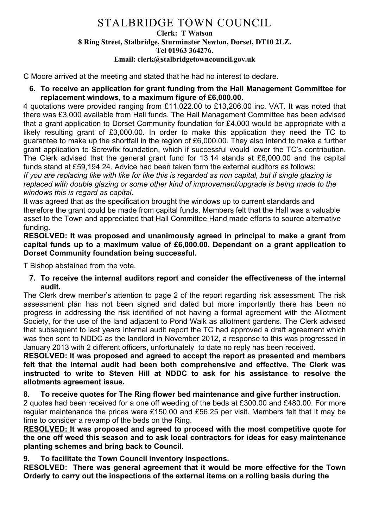#### **Clerk: T Watson 8 Ring Street, Stalbridge, Sturminster Newton, Dorset, DT10 2LZ. Tel 01963 364276. Email: clerk@stalbridgetowncouncil.gov.uk**

C Moore arrived at the meeting and stated that he had no interest to declare.

**6. To receive an application for grant funding from the Hall Management Committee for replacement windows, to a maximum figure of £6,000.00.**

4 quotations were provided ranging from £11,022.00 to £13,206.00 inc. VAT. It was noted that there was £3,000 available from Hall funds. The Hall Management Committee has been advised that a grant application to Dorset Community foundation for £4,000 would be appropriate with a likely resulting grant of £3,000.00. In order to make this application they need the TC to guarantee to make up the shortfall in the region of £6,000.00. They also intend to make a further grant application to Screwfix foundation, which if successful would lower the TC's contribution. The Clerk advised that the general grant fund for 13.14 stands at £6,000.00 and the capital funds stand at £59,194.24. Advice had been taken form the external auditors as follows:

*If you are replacing like with like for like this is regarded as non capital, but if single glazing is replaced with double glazing or some other kind of improvement/upgrade is being made to the windows this is regard as capital.*

It was agreed that as the specification brought the windows up to current standards and therefore the grant could be made from capital funds. Members felt that the Hall was a valuable asset to the Town and appreciated that Hall Committee Hand made efforts to source alternative funding.

**RESOLVED: It was proposed and unanimously agreed in principal to make a grant from capital funds up to a maximum value of £6,000.00. Dependant on a grant application to Dorset Community foundation being successful.**

T Bishop abstained from the vote.

**7. To receive the internal auditors report and consider the effectiveness of the internal audit.** 

The Clerk drew member's attention to page 2 of the report regarding risk assessment. The risk assessment plan has not been signed and dated but more importantly there has been no progress in addressing the risk identified of not having a formal agreement with the Allotment Society, for the use of the land adjacent to Pond Walk as allotment gardens. The Clerk advised that subsequent to last years internal audit report the TC had approved a draft agreement which was then sent to NDDC as the landlord in November 2012, a response to this was progressed in January 2013 with 2 different officers, unfortunately to date no reply has been received.

**RESOLVED: It was proposed and agreed to accept the report as presented and members felt that the internal audit had been both comprehensive and effective. The Clerk was instructed to write to Steven Hill at NDDC to ask for his assistance to resolve the allotments agreement issue.**

#### **8. To receive quotes for The Ring flower bed maintenance and give further instruction.**

2 quotes had been received for a one off weeding of the beds at £300.00 and £480.00. For more regular maintenance the prices were £150.00 and £56.25 per visit. Members felt that it may be time to consider a revamp of the beds on the Ring.

**RESOLVED: It was proposed and agreed to proceed with the most competitive quote for the one off weed this season and to ask local contractors for ideas for easy maintenance planting schemes and bring back to Council.**

**9. To facilitate the Town Council inventory inspections.**

**RESOLVED: There was general agreement that it would be more effective for the Town Orderly to carry out the inspections of the external items on a rolling basis during the**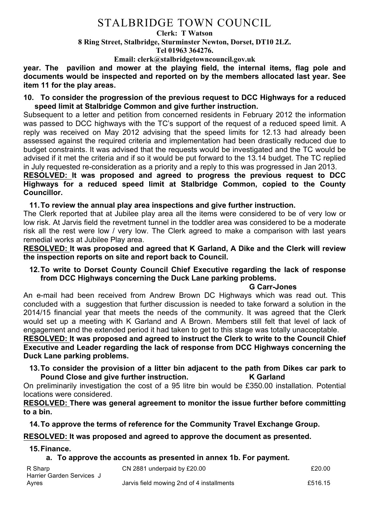#### **Clerk: T Watson**

**8 Ring Street, Stalbridge, Sturminster Newton, Dorset, DT10 2LZ.**

**Tel 01963 364276.** 

**Email: clerk@stalbridgetowncouncil.gov.uk**

**year. The pavilion and mower at the playing field, the internal items, flag pole and documents would be inspected and reported on by the members allocated last year. See item 11 for the play areas.**

#### **10. To consider the progression of the previous request to DCC Highways for a reduced speed limit at Stalbridge Common and give further instruction.**

Subsequent to a letter and petition from concerned residents in February 2012 the information was passed to DCC highways with the TC's support of the request of a reduced speed limit. A reply was received on May 2012 advising that the speed limits for 12.13 had already been assessed against the required criteria and implementation had been drastically reduced due to budget constraints. It was advised that the requests would be investigated and the TC would be advised if it met the criteria and if so it would be put forward to the 13.14 budget. The TC replied in July requested re-consideration as a priority and a reply to this was progressed in Jan 2013.

# **RESOLVED: It was proposed and agreed to progress the previous request to DCC Highways for a reduced speed limit at Stalbridge Common, copied to the County Councillor.**

#### **11.To review the annual play area inspections and give further instruction.**

The Clerk reported that at Jubilee play area all the items were considered to be of very low or low risk. At Jarvis field the revetment tunnel in the toddler area was considered to be a moderate risk all the rest were low / very low. The Clerk agreed to make a comparison with last years remedial works at Jubilee Play area.

**RESOLVED: It was proposed and agreed that K Garland, A Dike and the Clerk will review the inspection reports on site and report back to Council.**

#### **12.To write to Dorset County Council Chief Executive regarding the lack of response from DCC Highways concerning the Duck Lane parking problems.**

#### **G Carr-Jones**

An e-mail had been received from Andrew Brown DC Highways which was read out. This concluded with a suggestion that further discussion is needed to take forward a solution in the 2014/15 financial year that meets the needs of the community. It was agreed that the Clerk would set up a meeting with K Garland and A Brown. Members still felt that level of lack of engagement and the extended period it had taken to get to this stage was totally unacceptable.

**RESOLVED: It was proposed and agreed to instruct the Clerk to write to the Council Chief Executive and Leader regarding the lack of response from DCC Highways concerning the Duck Lane parking problems.**

**13.To consider the provision of a litter bin adjacent to the path from Dikes car park to Pound Close and give further instruction. K Garland**

On preliminarily investigation the cost of a 95 litre bin would be £350.00 installation. Potential locations were considered.

**RESOLVED: There was general agreement to monitor the issue further before committing to a bin.**

**14.To approve the terms of reference for the Community Travel Exchange Group.** 

#### **RESOLVED: It was proposed and agreed to approve the document as presented.**

**15.Finance.**

#### **a. To approve the accounts as presented in annex 1b. For payment.**

| R Sharp                   | CN 2881 underpaid by £20.00               | £20.00  |
|---------------------------|-------------------------------------------|---------|
| Harrier Garden Services J |                                           |         |
| Ayres                     | Jarvis field mowing 2nd of 4 installments | £516.15 |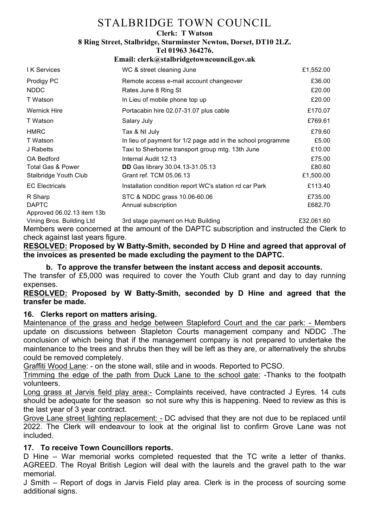#### **Clerk: T Watson**

**8 Ring Street, Stalbridge, Sturminster Newton, Dorset, DT10 2LZ.**

**Tel 01963 364276.** 

#### **Email: clerk@stalbridgetowncouncil.gov.uk**

| <b>I</b> K Services          | WC & street cleaning June                                   | £1,552.00 |
|------------------------------|-------------------------------------------------------------|-----------|
| Prodigy PC                   | Remote access e-mail account changeover                     | £36.00    |
| <b>NDDC</b>                  | Rates June 8 Ring St                                        | £20.00    |
| T Watson                     | In Lieu of mobile phone top up                              | £20.00    |
| <b>Wernick Hire</b>          | Portacabin hire 02.07-31.07 plus cable                      | £170.07   |
| T Watson                     | Salary July                                                 | £769.61   |
| <b>HMRC</b>                  | Tax & NI July                                               | £79.60    |
| T Watson                     | In lieu of payment for 1/2 page add in the school programme | £5.00     |
| J Rabetts                    | Taxi to Sherborne transport group mtg. 13th June            | £10.00    |
| <b>OA Bedford</b>            | Internal Audit 12.13                                        | £75.00    |
| <b>Total Gas &amp; Power</b> | <b>DD</b> Gas library 30.04.13-31.05.13                     | £80.60    |
| Stalbridge Youth Club        | Grant ref. TCM 05.06.13                                     | £1,500.00 |
| <b>EC Electricals</b>        | Installation condition report WC's station rd car Park      | £113.40   |
| R Sharp                      | STC & NDDC grass 10.06-60.06                                | £735.00   |
| <b>DAPTC</b>                 | Annual subscription                                         | £682.70   |
| Approved 06.02.13 item 13b   |                                                             |           |

Vining Bros. Building Ltd 3rd stage payment on Hub Building £32,061.60 Members were concerned at the amount of the DAPTC subscription and instructed the Clerk to check against last years figure.

# **RESOLVED: Proposed by W Batty-Smith, seconded by D Hine and agreed that approval of the invoices as presented be made excluding the payment to the DAPTC.**

### **b. To approve the transfer between the instant access and deposit accounts.** The transfer of £5,000 was required to cover the Youth Club grant and day to day running

expenses. **RESOLVED: Proposed by W Batty-Smith, seconded by D Hine and agreed that the** 

#### **transfer be made.**

# **16. Clerks report on matters arising.**

Maintenance of the grass and hedge between Stapleford Court and the car park: - Members update on discussions between Stapleton Courts management company and NDDC .The conclusion of which being that if the management company is not prepared to undertake the maintenance to the trees and shrubs then they will be left as they are, or alternatively the shrubs could be removed completely.

Graffiti Wood Lane: - on the stone wall, stile and in woods. Reported to PCSO.

Trimming the edge of the path from Duck Lane to the school gate: -Thanks to the footpath volunteers.

Long grass at Jarvis field play area:- Complaints received, have contracted J Eyres. 14 cuts should be adequate for the season so not sure why this is happening. Need to review as this is the last year of 3 year contract.

Grove Lane street lighting replacement: - DC advised that they are not due to be replaced until 2022. The Clerk will endeavour to look at the original list to confirm Grove Lane was not included.

# **17. To receive Town Councillors reports.**

D Hine – War memorial works completed requested that the TC write a letter of thanks. AGREED. The Royal British Legion will deal with the laurels and the gravel path to the war memorial.

J Smith – Report of dogs in Jarvis Field play area. Clerk is in the process of sourcing some additional signs.